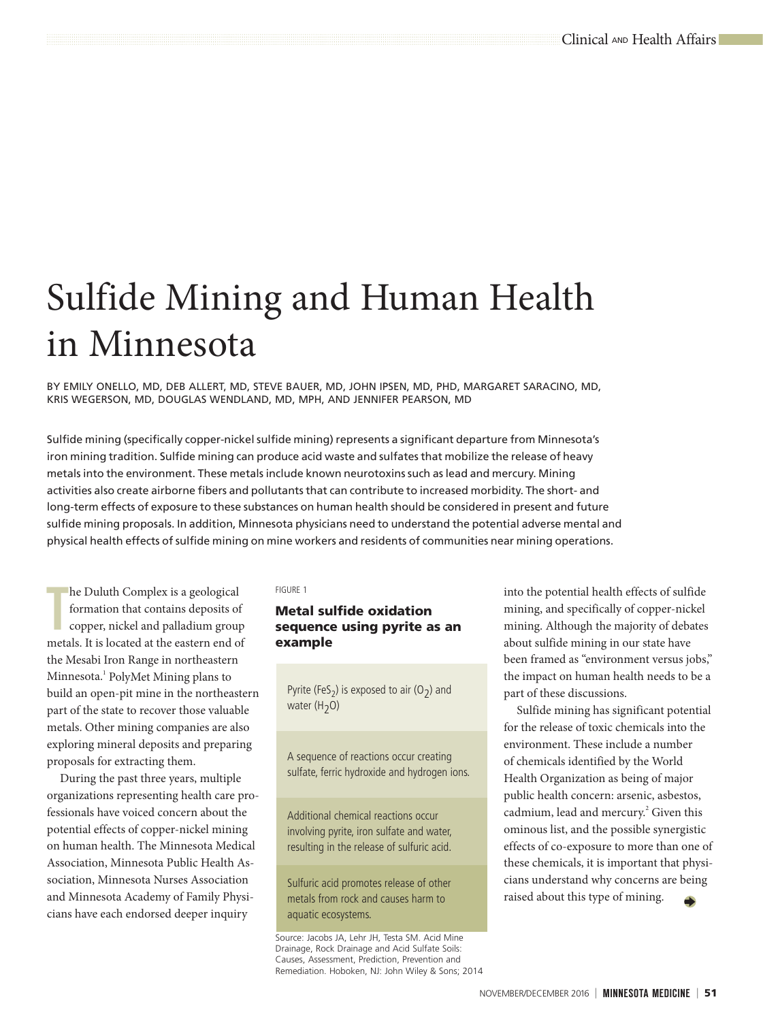# Sulfide Mining and Human Health in Minnesota

BY EMILY ONELLO, MD, DEB ALLERT, MD, STEVE BAUER, MD, JOHN IPSEN, MD, PHD, MARGARET SARACINO, MD, KRIS WEGERSON, MD, DOUGLAS WENDLAND, MD, MPH, AND JENNIFER PEARSON, MD

Sulfide mining (specifically copper-nickel sulfide mining) represents a significant departure from Minnesota's iron mining tradition. Sulfide mining can produce acid waste and sulfates that mobilize the release of heavy metals into the environment. These metals include known neurotoxins such as lead and mercury. Mining activities also create airborne fibers and pollutants that can contribute to increased morbidity. The short- and long-term effects of exposure to these substances on human health should be considered in present and future sulfide mining proposals. In addition, Minnesota physicians need to understand the potential adverse mental and physical health effects of sulfide mining on mine workers and residents of communities near mining operations.

The Duluth Complex is a geological formation that contains deposits of copper, nickel and palladium group metals. It is located at the eastern end of he Duluth Complex is a geological formation that contains deposits of copper, nickel and palladium group the Mesabi Iron Range in northeastern Minnesota.<sup>1</sup> PolyMet Mining plans to build an open-pit mine in the northeastern part of the state to recover those valuable metals. Other mining companies are also exploring mineral deposits and preparing proposals for extracting them.

During the past three years, multiple organizations representing health care professionals have voiced concern about the potential effects of copper-nickel mining on human health. The Minnesota Medical Association, Minnesota Public Health Association, Minnesota Nurses Association and Minnesota Academy of Family Physicians have each endorsed deeper inquiry

#### FIGURE 1

# Metal sulfide oxidation sequence using pyrite as an example

Pyrite (FeS<sub>2</sub>) is exposed to air (O<sub>2</sub>) and water  $(H_2O)$ 

A sequence of reactions occur creating sulfate, ferric hydroxide and hydrogen ions.

Additional chemical reactions occur involving pyrite, iron sulfate and water, resulting in the release of sulfuric acid.

Sulfuric acid promotes release of other metals from rock and causes harm to aquatic ecosystems.

Source: Jacobs JA, Lehr JH, Testa SM. Acid Mine Drainage, Rock Drainage and Acid Sulfate Soils: Causes, Assessment, Prediction, Prevention and Remediation. Hoboken, NJ: John Wiley & Sons; 2014 into the potential health effects of sulfide mining, and specifically of copper-nickel mining. Although the majority of debates about sulfide mining in our state have been framed as "environment versus jobs," the impact on human health needs to be a part of these discussions.

Sulfide mining has significant potential for the release of toxic chemicals into the environment. These include a number of chemicals identified by the World Health Organization as being of major public health concern: arsenic, asbestos, cadmium, lead and mercury.<sup>2</sup> Given this ominous list, and the possible synergistic effects of co-exposure to more than one of these chemicals, it is important that physicians understand why concerns are being raised about this type of mining.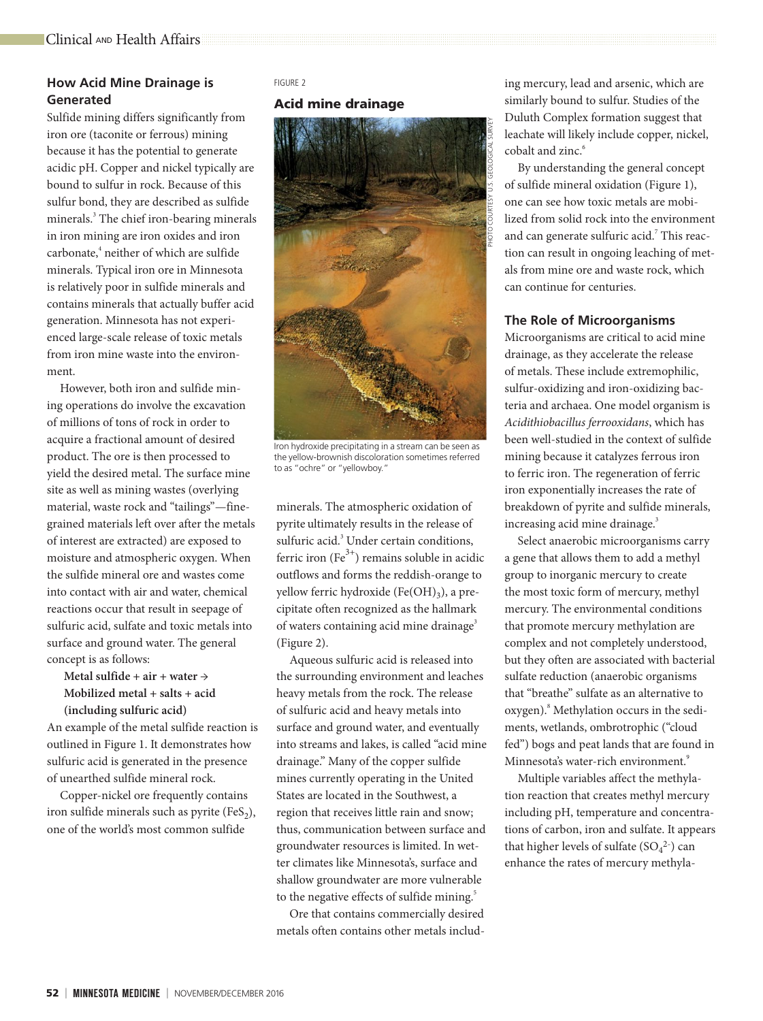# **How Acid Mine Drainage is Generated**

Sulfide mining differs significantly from iron ore (taconite or ferrous) mining because it has the potential to generate acidic pH. Copper and nickel typically are bound to sulfur in rock. Because of this sulfur bond, they are described as sulfide minerals.<sup>3</sup> The chief iron-bearing minerals in iron mining are iron oxides and iron carbonate,<sup>4</sup> neither of which are sulfide minerals. Typical iron ore in Minnesota is relatively poor in sulfide minerals and contains minerals that actually buffer acid generation. Minnesota has not experienced large-scale release of toxic metals from iron mine waste into the environment.

However, both iron and sulfide mining operations do involve the excavation of millions of tons of rock in order to acquire a fractional amount of desired product. The ore is then processed to yield the desired metal. The surface mine site as well as mining wastes (overlying material, waste rock and "tailings"—finegrained materials left over after the metals of interest are extracted) are exposed to moisture and atmospheric oxygen. When the sulfide mineral ore and wastes come into contact with air and water, chemical reactions occur that result in seepage of sulfuric acid, sulfate and toxic metals into surface and ground water. The general concept is as follows:

**Metal sulfide + air + water → Mobilized metal + salts + acid (including sulfuric acid)**

An example of the metal sulfide reaction is outlined in Figure 1. It demonstrates how sulfuric acid is generated in the presence of unearthed sulfide mineral rock.

Copper-nickel ore frequently contains iron sulfide minerals such as pyrite  $(FeS_2)$ , one of the world's most common sulfide

#### FIGURE 2

# Acid mine drainage



Iron hydroxide precipitating in a stream can be seen as the yellow-brownish discoloration sometimes referred to as "ochre" or "yellowboy."

minerals. The atmospheric oxidation of pyrite ultimately results in the release of sulfuric acid.<sup>3</sup> Under certain conditions, ferric iron (Fe $^{3+}$ ) remains soluble in acidic outflows and forms the reddish-orange to yellow ferric hydroxide  $(Fe(OH)_3)$ , a precipitate often recognized as the hallmark of waters containing acid mine drainage<sup>3</sup> (Figure 2).

Aqueous sulfuric acid is released into the surrounding environment and leaches heavy metals from the rock. The release of sulfuric acid and heavy metals into surface and ground water, and eventually into streams and lakes, is called "acid mine drainage." Many of the copper sulfide mines currently operating in the United States are located in the Southwest, a region that receives little rain and snow; thus, communication between surface and groundwater resources is limited. In wetter climates like Minnesota's, surface and shallow groundwater are more vulnerable to the negative effects of sulfide mining.<sup>5</sup>

Ore that contains commercially desired metals often contains other metals including mercury, lead and arsenic, which are similarly bound to sulfur. Studies of the Duluth Complex formation suggest that leachate will likely include copper, nickel, cobalt and zinc.<sup>6</sup>

By understanding the general concept of sulfide mineral oxidation (Figure 1), one can see how toxic metals are mobilized from solid rock into the environment and can generate sulfuric acid.<sup>7</sup> This reaction can result in ongoing leaching of metals from mine ore and waste rock, which can continue for centuries.

## **The Role of Microorganisms**

Microorganisms are critical to acid mine drainage, as they accelerate the release of metals. These include extremophilic, sulfur-oxidizing and iron-oxidizing bacteria and archaea. One model organism is *Acidithiobacillus ferrooxidans*, which has been well-studied in the context of sulfide mining because it catalyzes ferrous iron to ferric iron. The regeneration of ferric iron exponentially increases the rate of breakdown of pyrite and sulfide minerals, increasing acid mine drainage.<sup>3</sup>

Select anaerobic microorganisms carry a gene that allows them to add a methyl group to inorganic mercury to create the most toxic form of mercury, methyl mercury. The environmental conditions that promote mercury methylation are complex and not completely understood, but they often are associated with bacterial sulfate reduction (anaerobic organisms that "breathe" sulfate as an alternative to oxygen).<sup>8</sup> Methylation occurs in the sediments, wetlands, ombrotrophic ("cloud fed") bogs and peat lands that are found in Minnesota's water-rich environment.<sup>9</sup>

Multiple variables affect the methylation reaction that creates methyl mercury including pH, temperature and concentrations of carbon, iron and sulfate. It appears that higher levels of sulfate  $(SO_4^2)$  can enhance the rates of mercury methyla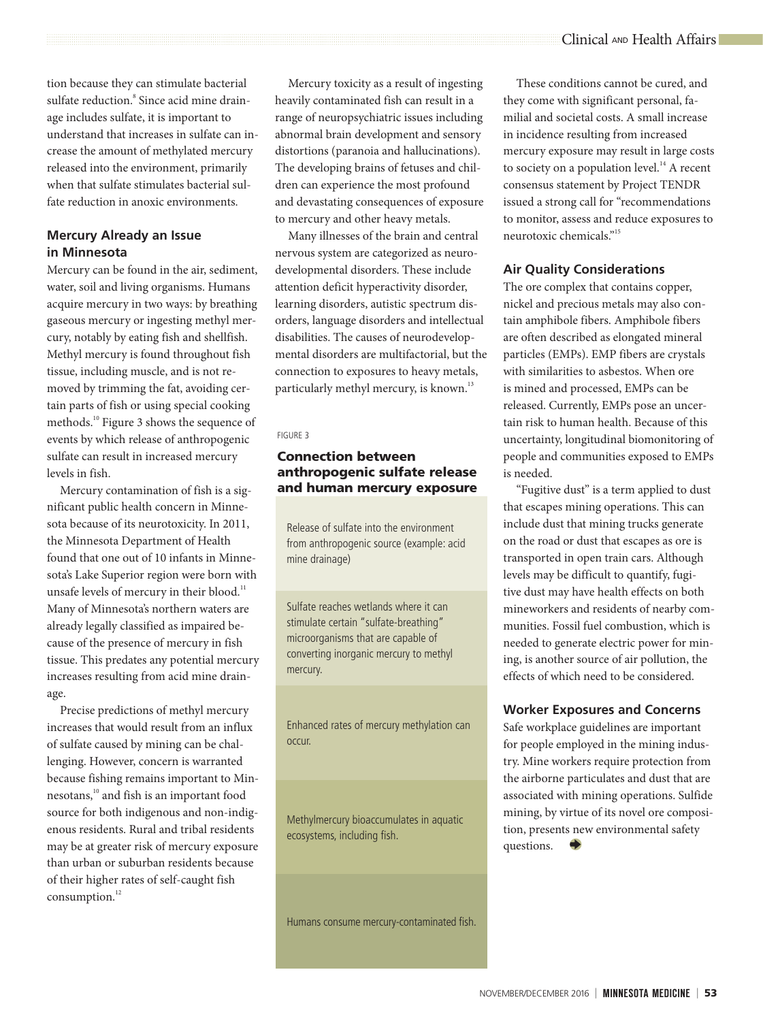tion because they can stimulate bacterial sulfate reduction.<sup>8</sup> Since acid mine drainage includes sulfate, it is important to understand that increases in sulfate can increase the amount of methylated mercury released into the environment, primarily when that sulfate stimulates bacterial sulfate reduction in anoxic environments.

# **Mercury Already an Issue in Minnesota**

Mercury can be found in the air, sediment, water, soil and living organisms. Humans acquire mercury in two ways: by breathing gaseous mercury or ingesting methyl mercury, notably by eating fish and shellfish. Methyl mercury is found throughout fish tissue, including muscle, and is not removed by trimming the fat, avoiding certain parts of fish or using special cooking methods.<sup>10</sup> Figure 3 shows the sequence of events by which release of anthropogenic sulfate can result in increased mercury levels in fish.

Mercury contamination of fish is a significant public health concern in Minnesota because of its neurotoxicity. In 2011, the Minnesota Department of Health found that one out of 10 infants in Minnesota's Lake Superior region were born with unsafe levels of mercury in their blood.<sup>11</sup> Many of Minnesota's northern waters are already legally classified as impaired because of the presence of mercury in fish tissue. This predates any potential mercury increases resulting from acid mine drainage.

Precise predictions of methyl mercury increases that would result from an influx of sulfate caused by mining can be challenging. However, concern is warranted because fishing remains important to Minnesotans,<sup>10</sup> and fish is an important food source for both indigenous and non-indigenous residents. Rural and tribal residents may be at greater risk of mercury exposure than urban or suburban residents because of their higher rates of self-caught fish consumption.<sup>12</sup>

Mercury toxicity as a result of ingesting heavily contaminated fish can result in a range of neuropsychiatric issues including abnormal brain development and sensory distortions (paranoia and hallucinations). The developing brains of fetuses and children can experience the most profound and devastating consequences of exposure to mercury and other heavy metals.

Many illnesses of the brain and central nervous system are categorized as neurodevelopmental disorders. These include attention deficit hyperactivity disorder, learning disorders, autistic spectrum disorders, language disorders and intellectual disabilities. The causes of neurodevelopmental disorders are multifactorial, but the connection to exposures to heavy metals, particularly methyl mercury, is known.<sup>13</sup>

#### FIGURE 3

# Connection between anthropogenic sulfate release and human mercury exposure

Release of sulfate into the environment from anthropogenic source (example: acid mine drainage)

Sulfate reaches wetlands where it can stimulate certain "sulfate-breathing" microorganisms that are capable of converting inorganic mercury to methyl mercury.

Enhanced rates of mercury methylation can occur.

Methylmercury bioaccumulates in aquatic ecosystems, including fish.

Humans consume mercury-contaminated fish.

These conditions cannot be cured, and they come with significant personal, familial and societal costs. A small increase in incidence resulting from increased mercury exposure may result in large costs to society on a population level. $^{14}$  A recent consensus statement by Project TENDR issued a strong call for "recommendations to monitor, assess and reduce exposures to neurotoxic chemicals."15

# **Air Quality Considerations**

The ore complex that contains copper, nickel and precious metals may also contain amphibole fibers. Amphibole fibers are often described as elongated mineral particles (EMPs). EMP fibers are crystals with similarities to asbestos. When ore is mined and processed, EMPs can be released. Currently, EMPs pose an uncertain risk to human health. Because of this uncertainty, longitudinal biomonitoring of people and communities exposed to EMPs is needed.

"Fugitive dust" is a term applied to dust that escapes mining operations. This can include dust that mining trucks generate on the road or dust that escapes as ore is transported in open train cars. Although levels may be difficult to quantify, fugitive dust may have health effects on both mineworkers and residents of nearby communities. Fossil fuel combustion, which is needed to generate electric power for mining, is another source of air pollution, the effects of which need to be considered.

# **Worker Exposures and Concerns**

Safe workplace guidelines are important for people employed in the mining industry. Mine workers require protection from the airborne particulates and dust that are associated with mining operations. Sulfide mining, by virtue of its novel ore composition, presents new environmental safety questions.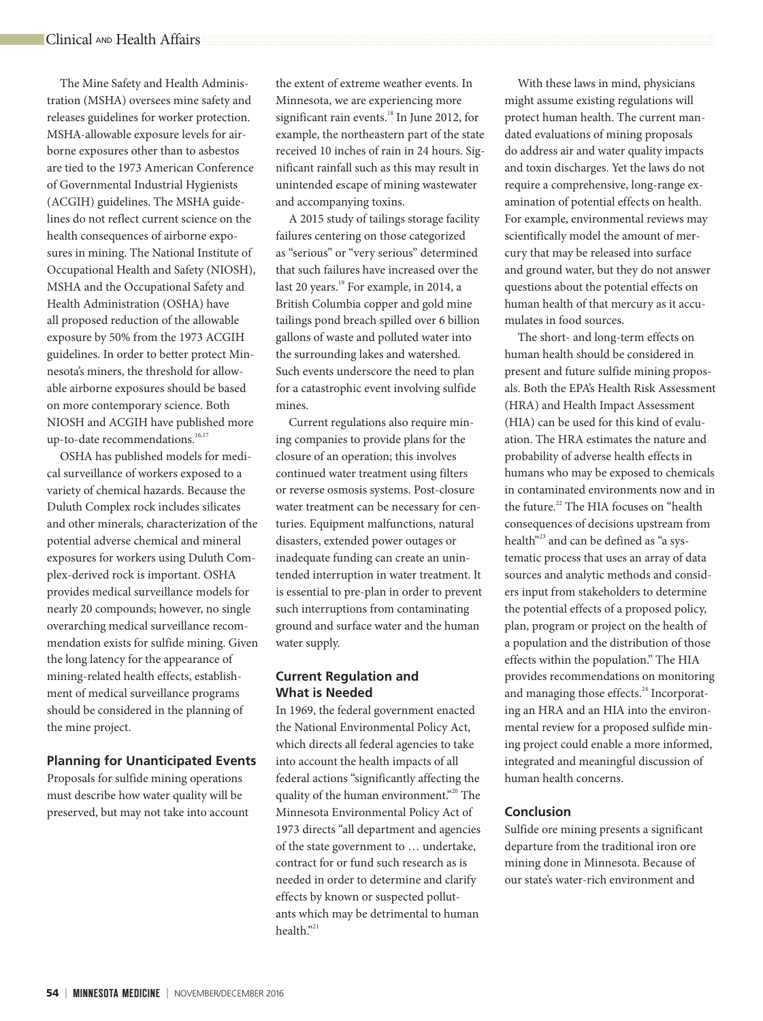The Mine Safety and Health Administration (MSHA) oversees mine safety and releases guidelines for worker protection. MSHA-allowable exposure levels for airborne exposures other than to asbestos are tied to the 1973 American Conference of Governmental Industrial Hygienists (ACGIH) guidelines. The MSHA guidelines do not reflect current science on the health consequences of airborne exposures in mining. The National Institute of Occupational Health and Safety (NIOSH), MSHA and the Occupational Safety and Health Administration (OSHA) have all proposed reduction of the allowable exposure by 50% from the 1973 ACGIH guidelines. In order to better protect Minnesota's miners, the threshold for allowable airborne exposures should be based on more contemporary science. Both NIOSH and ACGIH have published more up-to-date recommendations.<sup>16,17</sup>

OSHA has published models for medical surveillance of workers exposed to a variety of chemical hazards. Because the Duluth Complex rock includes silicates and other minerals, characterization of the potential adverse chemical and mineral exposures for workers using Duluth Complex-derived rock is important. OSHA provides medical surveillance models for nearly 20 compounds; however, no single overarching medical surveillance recommendation exists for sulfide mining. Given the long latency for the appearance of mining-related health effects, establishment of medical surveillance programs should be considered in the planning of the mine project.

#### **Planning for Unanticipated Events**

Proposals for sulfide mining operations must describe how water quality will be preserved, but may not take into account the extent of extreme weather events. In Minnesota, we are experiencing more significant rain events.<sup>18</sup> In June 2012, for example, the northeastern part of the state received 10 inches of rain in 24 hours. Significant rainfall such as this may result in unintended escape of mining wastewater and accompanying toxins.

A 2015 study of tailings storage facility failures centering on those categorized as "serious" or "very serious" determined that such failures have increased over the last 20 years.<sup>19</sup> For example, in 2014, a British Columbia copper and gold mine tailings pond breach spilled over 6 billion gallons of waste and polluted water into the surrounding lakes and watershed. Such events underscore the need to plan for a catastrophic event involving sulfide mines.

Current regulations also require mining companies to provide plans for the closure of an operation; this involves continued water treatment using filters or reverse osmosis systems. Post-closure water treatment can be necessary for centuries. Equipment malfunctions, natural disasters, extended power outages or inadequate funding can create an unintended interruption in water treatment. It is essential to pre-plan in order to prevent such interruptions from contaminating ground and surface water and the human water supply.

# **Current Regulation and What is Needed**

In 1969, the federal government enacted the National Environmental Policy Act, which directs all federal agencies to take into account the health impacts of all federal actions "significantly affecting the quality of the human environment."<sup>20</sup> The Minnesota Environmental Policy Act of 1973 directs "all department and agencies of the state government to … undertake, contract for or fund such research as is needed in order to determine and clarify effects by known or suspected pollutants which may be detrimental to human health."<sup>21</sup>

With these laws in mind, physicians might assume existing regulations will protect human health. The current mandated evaluations of mining proposals do address air and water quality impacts and toxin discharges. Yet the laws do not require a comprehensive, long-range examination of potential effects on health. For example, environmental reviews may scientifically model the amount of mercury that may be released into surface and ground water, but they do not answer questions about the potential effects on human health of that mercury as it accumulates in food sources.

The short- and long-term effects on human health should be considered in present and future sulfide mining proposals. Both the EPA's Health Risk Assessment (HRA) and Health Impact Assessment (HIA) can be used for this kind of evaluation. The HRA estimates the nature and probability of adverse health effects in humans who may be exposed to chemicals in contaminated environments now and in the future.<sup>22</sup> The HIA focuses on "health consequences of decisions upstream from health"<sup>23</sup> and can be defined as "a systematic process that uses an array of data sources and analytic methods and considers input from stakeholders to determine the potential effects of a proposed policy, plan, program or project on the health of a population and the distribution of those effects within the population." The HIA provides recommendations on monitoring and managing those effects.<sup>24</sup> Incorporating an HRA and an HIA into the environmental review for a proposed sulfide mining project could enable a more informed, integrated and meaningful discussion of human health concerns.

## **Conclusion**

Sulfide ore mining presents a significant departure from the traditional iron ore mining done in Minnesota. Because of our state's water-rich environment and